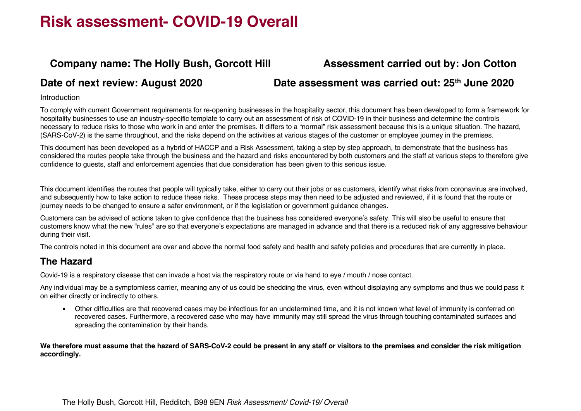### **Company name: The Holly Bush, Gorcott Hill Assessment carried out by: Jon Cotton**

#### **Date of next review: August 2020 Date assessment was carried out: 25th June 2020**

#### **Introduction**

To comply with current Government requirements for re-opening businesses in the hospitality sector, this document has been developed to form a framework for hospitality businesses to use an industry-specific template to carry out an assessment of risk of COVID-19 in their business and determine the controls necessary to reduce risks to those who work in and enter the premises. It differs to a "normal" risk assessment because this is a unique situation. The hazard, (SARS-CoV-2) is the same throughout, and the risks depend on the activities at various stages of the customer or employee journey in the premises.

This document has been developed as a hybrid of HACCP and a Risk Assessment, taking a step by step approach, to demonstrate that the business has considered the routes people take through the business and the hazard and risks encountered by both customers and the staff at various steps to therefore give confidence to guests, staff and enforcement agencies that due consideration has been given to this serious issue.

This document identifies the routes that people will typically take, either to carry out their jobs or as customers, identify what risks from coronavirus are involved, and subsequently how to take action to reduce these risks. These process steps may then need to be adjusted and reviewed, if it is found that the route or journey needs to be changed to ensure a safer environment, or if the legislation or government guidance changes.

Customers can be advised of actions taken to give confidence that the business has considered everyone's safety. This will also be useful to ensure that customers know what the new "rules" are so that everyone's expectations are managed in advance and that there is a reduced risk of any aggressive behaviour during their visit.

The controls noted in this document are over and above the normal food safety and health and safety policies and procedures that are currently in place.

### **The Hazard**

Covid-19 is a respiratory disease that can invade a host via the respiratory route or via hand to eye / mouth / nose contact.

Any individual may be a symptomless carrier, meaning any of us could be shedding the virus, even without displaying any symptoms and thus we could pass it on either directly or indirectly to others.

• Other difficulties are that recovered cases may be infectious for an undetermined time, and it is not known what level of immunity is conferred on recovered cases. Furthermore, a recovered case who may have immunity may still spread the virus through touching contaminated surfaces and spreading the contamination by their hands.

**We therefore must assume that the hazard of SARS-CoV-2 could be present in any staff or visitors to the premises and consider the risk mitigation accordingly.**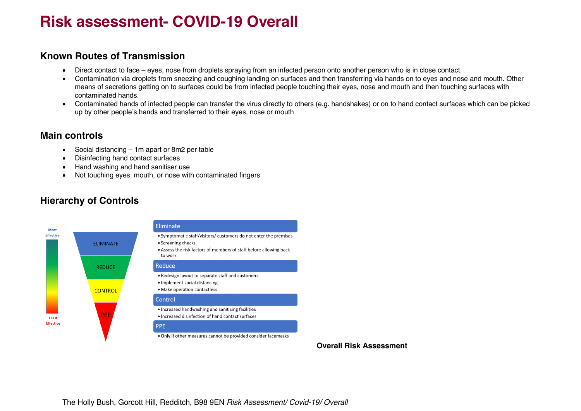#### **Known Routes of Transmission**

- Direct contact to face eyes, nose from droplets spraying from an infected person onto another person who is in close contact.
- Contamination via droplets from sneezing and coughing landing on surfaces and then transferring via hands on to eyes and nose and mouth. Other means of secretions getting on to surfaces could be from infected people touching their eyes, nose and mouth and then touching surfaces with contaminated hands.
- Contaminated hands of infected people can transfer the virus directly to others (e.g. handshakes) or on to hand contact surfaces which can be picked up by other people's hands and transferred to their eyes, nose or mouth

### **Main controls**

- Social distancing 1m apart or 8m2 per table
- Disinfecting hand contact surfaces
- Hand washing and hand sanitiser use
- Not touching eyes, mouth, or nose with contaminated fingers



### **Hierarchy of Controls**

**Overall Risk Assessment**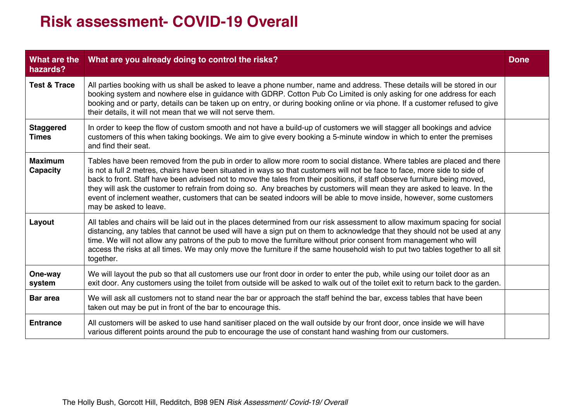| What are the<br>hazards?          | What are you already doing to control the risks?                                                                                                                                                                                                                                                                                                                                                                                                                                                                                                                                                                                                                   | <b>Done</b> |
|-----------------------------------|--------------------------------------------------------------------------------------------------------------------------------------------------------------------------------------------------------------------------------------------------------------------------------------------------------------------------------------------------------------------------------------------------------------------------------------------------------------------------------------------------------------------------------------------------------------------------------------------------------------------------------------------------------------------|-------------|
| <b>Test &amp; Trace</b>           | All parties booking with us shall be asked to leave a phone number, name and address. These details will be stored in our<br>booking system and nowhere else in guidance with GDRP. Cotton Pub Co Limited is only asking for one address for each<br>booking and or party, details can be taken up on entry, or during booking online or via phone. If a customer refused to give<br>their details, it will not mean that we will not serve them.                                                                                                                                                                                                                  |             |
| <b>Staggered</b><br><b>Times</b>  | In order to keep the flow of custom smooth and not have a build-up of customers we will stagger all bookings and advice<br>customers of this when taking bookings. We aim to give every booking a 5-minute window in which to enter the premises<br>and find their seat.                                                                                                                                                                                                                                                                                                                                                                                           |             |
| <b>Maximum</b><br><b>Capacity</b> | Tables have been removed from the pub in order to allow more room to social distance. Where tables are placed and there<br>is not a full 2 metres, chairs have been situated in ways so that customers will not be face to face, more side to side of<br>back to front. Staff have been advised not to move the tales from their positions, if staff observe furniture being moved,<br>they will ask the customer to refrain from doing so. Any breaches by customers will mean they are asked to leave. In the<br>event of inclement weather, customers that can be seated indoors will be able to move inside, however, some customers<br>may be asked to leave. |             |
| Layout                            | All tables and chairs will be laid out in the places determined from our risk assessment to allow maximum spacing for social<br>distancing, any tables that cannot be used will have a sign put on them to acknowledge that they should not be used at any<br>time. We will not allow any patrons of the pub to move the furniture without prior consent from management who will<br>access the risks at all times. We may only move the furniture if the same household wish to put two tables together to all sit<br>together.                                                                                                                                   |             |
| One-way<br>system                 | We will layout the pub so that all customers use our front door in order to enter the pub, while using our toilet door as an<br>exit door. Any customers using the toilet from outside will be asked to walk out of the toilet exit to return back to the garden.                                                                                                                                                                                                                                                                                                                                                                                                  |             |
| <b>Bar area</b>                   | We will ask all customers not to stand near the bar or approach the staff behind the bar, excess tables that have been<br>taken out may be put in front of the bar to encourage this.                                                                                                                                                                                                                                                                                                                                                                                                                                                                              |             |
| <b>Entrance</b>                   | All customers will be asked to use hand sanitiser placed on the wall outside by our front door, once inside we will have<br>various different points around the pub to encourage the use of constant hand washing from our customers.                                                                                                                                                                                                                                                                                                                                                                                                                              |             |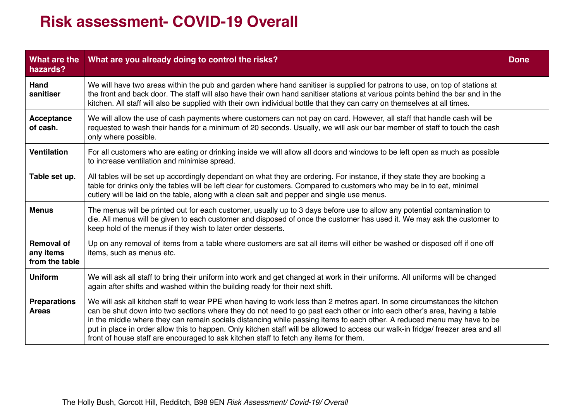| What are the<br>hazards?                         | What are you already doing to control the risks?                                                                                                                                                                                                                                                                                                                                                                                                                                                                                                                                                               | <b>Done</b> |
|--------------------------------------------------|----------------------------------------------------------------------------------------------------------------------------------------------------------------------------------------------------------------------------------------------------------------------------------------------------------------------------------------------------------------------------------------------------------------------------------------------------------------------------------------------------------------------------------------------------------------------------------------------------------------|-------------|
| Hand<br>sanitiser                                | We will have two areas within the pub and garden where hand sanitiser is supplied for patrons to use, on top of stations at<br>the front and back door. The staff will also have their own hand sanitiser stations at various points behind the bar and in the<br>kitchen. All staff will also be supplied with their own individual bottle that they can carry on themselves at all times.                                                                                                                                                                                                                    |             |
| <b>Acceptance</b><br>of cash.                    | We will allow the use of cash payments where customers can not pay on card. However, all staff that handle cash will be<br>requested to wash their hands for a minimum of 20 seconds. Usually, we will ask our bar member of staff to touch the cash<br>only where possible.                                                                                                                                                                                                                                                                                                                                   |             |
| <b>Ventilation</b>                               | For all customers who are eating or drinking inside we will allow all doors and windows to be left open as much as possible<br>to increase ventilation and minimise spread.                                                                                                                                                                                                                                                                                                                                                                                                                                    |             |
| Table set up.                                    | All tables will be set up accordingly dependant on what they are ordering. For instance, if they state they are booking a<br>table for drinks only the tables will be left clear for customers. Compared to customers who may be in to eat, minimal<br>cutlery will be laid on the table, along with a clean salt and pepper and single use menus.                                                                                                                                                                                                                                                             |             |
| <b>Menus</b>                                     | The menus will be printed out for each customer, usually up to 3 days before use to allow any potential contamination to<br>die. All menus will be given to each customer and disposed of once the customer has used it. We may ask the customer to<br>keep hold of the menus if they wish to later order desserts.                                                                                                                                                                                                                                                                                            |             |
| <b>Removal of</b><br>any items<br>from the table | Up on any removal of items from a table where customers are sat all items will either be washed or disposed off if one off<br>items, such as menus etc.                                                                                                                                                                                                                                                                                                                                                                                                                                                        |             |
| <b>Uniform</b>                                   | We will ask all staff to bring their uniform into work and get changed at work in their uniforms. All uniforms will be changed<br>again after shifts and washed within the building ready for their next shift.                                                                                                                                                                                                                                                                                                                                                                                                |             |
| <b>Preparations</b><br><b>Areas</b>              | We will ask all kitchen staff to wear PPE when having to work less than 2 metres apart. In some circumstances the kitchen<br>can be shut down into two sections where they do not need to go past each other or into each other's area, having a table<br>in the middle where they can remain socials distancing while passing items to each other. A reduced menu may have to be<br>put in place in order allow this to happen. Only kitchen staff will be allowed to access our walk-in fridge/freezer area and all<br>front of house staff are encouraged to ask kitchen staff to fetch any items for them. |             |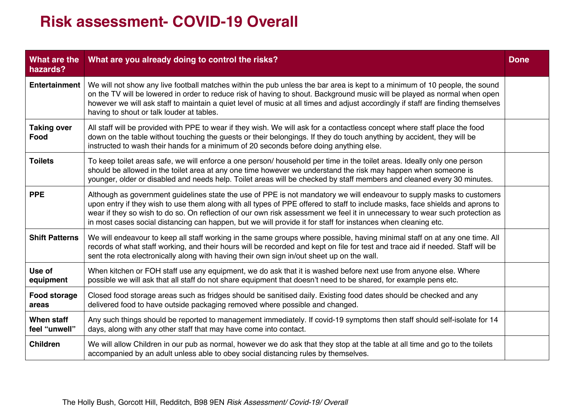| What are the<br>hazards?     | What are you already doing to control the risks?                                                                                                                                                                                                                                                                                                                                                                                                                                                         | <b>Done</b> |
|------------------------------|----------------------------------------------------------------------------------------------------------------------------------------------------------------------------------------------------------------------------------------------------------------------------------------------------------------------------------------------------------------------------------------------------------------------------------------------------------------------------------------------------------|-------------|
| <b>Entertainment</b>         | We will not show any live football matches within the pub unless the bar area is kept to a minimum of 10 people, the sound<br>on the TV will be lowered in order to reduce risk of having to shout. Background music will be played as normal when open<br>however we will ask staff to maintain a quiet level of music at all times and adjust accordingly if staff are finding themselves<br>having to shout or talk louder at tables.                                                                 |             |
| <b>Taking over</b><br>Food   | All staff will be provided with PPE to wear if they wish. We will ask for a contactless concept where staff place the food<br>down on the table without touching the guests or their belongings. If they do touch anything by accident, they will be<br>instructed to wash their hands for a minimum of 20 seconds before doing anything else.                                                                                                                                                           |             |
| <b>Toilets</b>               | To keep toilet areas safe, we will enforce a one person/ household per time in the toilet areas. Ideally only one person<br>should be allowed in the toilet area at any one time however we understand the risk may happen when someone is<br>younger, older or disabled and needs help. Toilet areas will be checked by staff members and cleaned every 30 minutes.                                                                                                                                     |             |
| <b>PPE</b>                   | Although as government guidelines state the use of PPE is not mandatory we will endeavour to supply masks to customers<br>upon entry if they wish to use them along with all types of PPE offered to staff to include masks, face shields and aprons to<br>wear if they so wish to do so. On reflection of our own risk assessment we feel it in unnecessary to wear such protection as<br>in most cases social distancing can happen, but we will provide it for staff for instances when cleaning etc. |             |
| <b>Shift Patterns</b>        | We will endeavour to keep all staff working in the same groups where possible, having minimal staff on at any one time. All<br>records of what staff working, and their hours will be recorded and kept on file for test and trace aid if needed. Staff will be<br>sent the rota electronically along with having their own sign in/out sheet up on the wall.                                                                                                                                            |             |
| Use of<br>equipment          | When kitchen or FOH staff use any equipment, we do ask that it is washed before next use from anyone else. Where<br>possible we will ask that all staff do not share equipment that doesn't need to be shared, for example pens etc.                                                                                                                                                                                                                                                                     |             |
| <b>Food storage</b><br>areas | Closed food storage areas such as fridges should be sanitised daily. Existing food dates should be checked and any<br>delivered food to have outside packaging removed where possible and changed.                                                                                                                                                                                                                                                                                                       |             |
| When staff<br>feel "unwell"  | Any such things should be reported to management immediately. If covid-19 symptoms then staff should self-isolate for 14<br>days, along with any other staff that may have come into contact.                                                                                                                                                                                                                                                                                                            |             |
| <b>Children</b>              | We will allow Children in our pub as normal, however we do ask that they stop at the table at all time and go to the toilets<br>accompanied by an adult unless able to obey social distancing rules by themselves.                                                                                                                                                                                                                                                                                       |             |